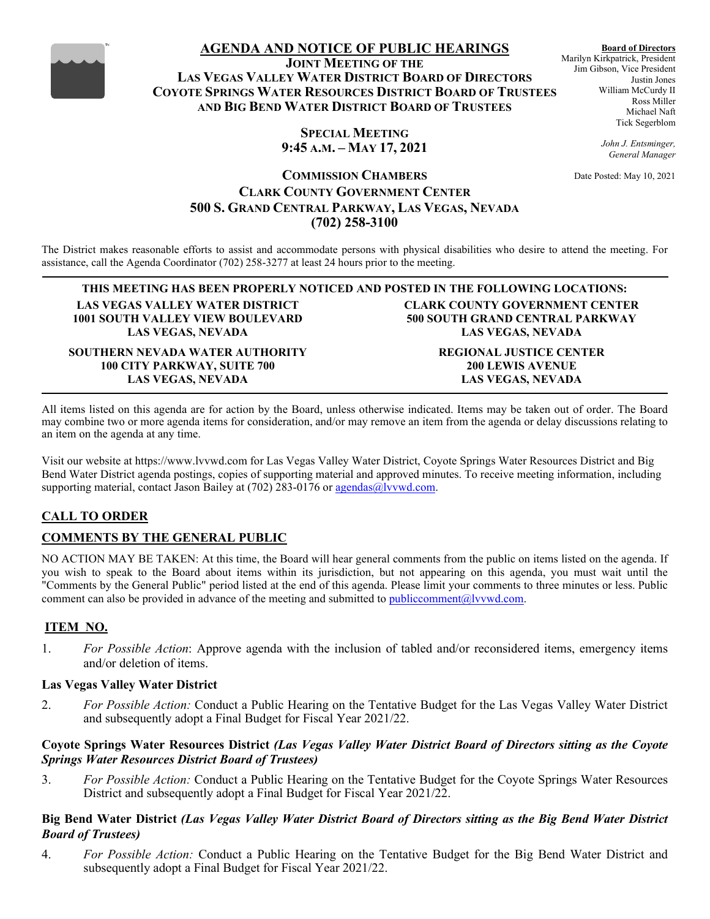

# **AGENDA AND NOTICE OF PUBLIC HEARINGS**

**JOINT MEETING OF THE LAS VEGAS VALLEY WATER DISTRICT BOARD OF DIRECTORS COYOTE SPRINGS WATER RESOURCES DISTRICT BOARD OF TRUSTEES AND BIG BEND WATER DISTRICT BOARD OF TRUSTEES**

**Board of Directors** Marilyn Kirkpatrick, President Jim Gibson, Vice President Justin Jones William McCurdy II Ross Miller Michael Naft Tick Segerblom

**SPECIAL MEETING 9:45 A.M. – MAY 17, 2021**

*General Manager* Date Posted: May 10, 2021

*John J. Entsminger,*

# **COMMISSION CHAMBERS CLARK COUNTY GOVERNMENT CENTER 500 S. GRAND CENTRAL PARKWAY, LAS VEGAS, NEVADA (702) 258-3100**

The District makes reasonable efforts to assist and accommodate persons with physical disabilities who desire to attend the meeting. For assistance, call the Agenda Coordinator (702) 258-3277 at least 24 hours prior to the meeting.

**THIS MEETING HAS BEEN PROPERLY NOTICED AND POSTED IN THE FOLLOWING LOCATIONS: LAS VEGAS VALLEY WATER DISTRICT 1001 SOUTH VALLEY VIEW BOULEVARD LAS VEGAS, NEVADA**

**SOUTHERN NEVADA WATER AUTHORITY 100 CITY PARKWAY, SUITE 700 LAS VEGAS, NEVADA**

**CLARK COUNTY GOVERNMENT CENTER 500 SOUTH GRAND CENTRAL PARKWAY LAS VEGAS, NEVADA**

> **REGIONAL JUSTICE CENTER 200 LEWIS AVENUE LAS VEGAS, NEVADA**

All items listed on this agenda are for action by the Board, unless otherwise indicated. Items may be taken out of order. The Board may combine two or more agenda items for consideration, and/or may remove an item from the agenda or delay discussions relating to an item on the agenda at any time.

Visit our website at https://www.lvvwd.com for Las Vegas Valley Water District, Coyote Springs Water Resources District and Big Bend Water District agenda postings, copies of supporting material and approved minutes. To receive meeting information, including supporting material, contact Jason Bailey at  $(702)$  283-0176 or [agendas@lvvwd.com.](mailto:agendas@lvvwd.com)

# **CALL TO ORDER**

# **COMMENTS BY THE GENERAL PUBLIC**

NO ACTION MAY BE TAKEN: At this time, the Board will hear general comments from the public on items listed on the agenda. If you wish to speak to the Board about items within its jurisdiction, but not appearing on this agenda, you must wait until the "Comments by the General Public" period listed at the end of this agenda. Please limit your comments to three minutes or less. Public comment can also be provided in advance of the meeting and submitted t[o publiccomment@lvvwd.com.](mailto:publiccomment@lvvwd.com)

### **ITEM NO.**

1. *For Possible Action*: Approve agenda with the inclusion of tabled and/or reconsidered items, emergency items and/or deletion of items.

#### **Las Vegas Valley Water District**

2. *For Possible Action:* Conduct a Public Hearing on the Tentative Budget for the Las Vegas Valley Water District and subsequently adopt a Final Budget for Fiscal Year 2021/22.

### **Coyote Springs Water Resources District** *(Las Vegas Valley Water District Board of Directors sitting as the Coyote Springs Water Resources District Board of Trustees)*

3. *For Possible Action:* Conduct a Public Hearing on the Tentative Budget for the Coyote Springs Water Resources District and subsequently adopt a Final Budget for Fiscal Year 2021/22.

### **Big Bend Water District** *(Las Vegas Valley Water District Board of Directors sitting as the Big Bend Water District Board of Trustees)*

4. *For Possible Action:* Conduct a Public Hearing on the Tentative Budget for the Big Bend Water District and subsequently adopt a Final Budget for Fiscal Year 2021/22.